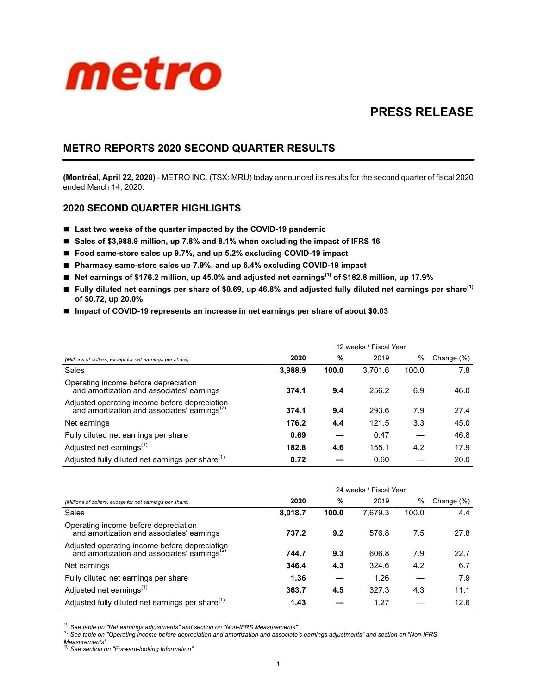

# **PRESS RELEASE**

## **METRO REPORTS 2020 SECOND QUARTER RESULTS**

**(Montréal, April 22, 2020)** - METRO INC. (TSX: MRU) today announced its results for the second quarter of fiscal 2020 ended March 14, 2020.

## **2020 SECOND QUARTER HIGHLIGHTS**

- Last two weeks of the quarter impacted by the COVID-19 pandemic
- Sales of \$3,988.9 million, up 7.8% and 8.1% when excluding the impact of IFRS 16
- Food same-store sales up 9.7%, and up 5.2% excluding COVID-19 impact
- Pharmacy same-store sales up 7.9%, and up 6.4% excluding COVID-19 impact
- **Net earnings of \$176.2 million, up 45.0% and adjusted net earnings(1) of \$182.8 million, up 17.9%**
- **Fully diluted net earnings per share of \$0.69, up 46.8% and adjusted fully diluted net earnings per share(1) of \$0.72, up 20.0%**
- Impact of COVID-19 represents an increase in net earnings per share of about \$0.03

|                                                                                                           | 12 weeks / Fiscal Year |       |         |       |            |  |
|-----------------------------------------------------------------------------------------------------------|------------------------|-------|---------|-------|------------|--|
| (Millions of dollars, except for net earnings per share)                                                  | 2020                   | %     | 2019    | %     | Change (%) |  |
| Sales                                                                                                     | 3,988.9                | 100.0 | 3,701.6 | 100.0 | 7.8        |  |
| Operating income before depreciation<br>and amortization and associates' earnings                         | 374.1                  | 9.4   | 256.2   | 6.9   | 46.0       |  |
| Adjusted operating income before depreciation<br>and amortization and associates' earnings <sup>(2)</sup> | 374.1                  | 9.4   | 293.6   | 7.9   | 27.4       |  |
| Net earnings                                                                                              | 176.2                  | 4.4   | 121.5   | 3.3   | 45.0       |  |
| Fully diluted net earnings per share                                                                      | 0.69                   |       | 0.47    |       | 46.8       |  |
| Adjusted net earnings <sup>(1)</sup>                                                                      | 182.8                  | 4.6   | 155.1   | 4.2   | 17.9       |  |
| Adjusted fully diluted net earnings per share <sup>(1)</sup>                                              | 0.72                   |       | 0.60    |       | 20.0       |  |

|                                                                                                           | 24 weeks / Fiscal Year |       |         |       |            |  |
|-----------------------------------------------------------------------------------------------------------|------------------------|-------|---------|-------|------------|--|
| (Millions of dollars, except for net earnings per share)                                                  | 2020                   | %     | 2019    | %     | Change (%) |  |
| Sales                                                                                                     | 8,018.7                | 100.0 | 7,679.3 | 100.0 | 4.4        |  |
| Operating income before depreciation<br>and amortization and associates' earnings                         | 737.2                  | 9.2   | 576.8   | 7.5   | 27.8       |  |
| Adjusted operating income before depreciation<br>and amortization and associates' earnings <sup>(2)</sup> | 744.7                  | 9.3   | 606.8   | 7.9   | 22.7       |  |
| Net earnings                                                                                              | 346.4                  | 4.3   | 324.6   | 4.2   | 6.7        |  |
| Fully diluted net earnings per share                                                                      | 1.36                   |       | 1.26    |       | 7.9        |  |
| Adjusted net earnings <sup>(1)</sup>                                                                      | 363.7                  | 4.5   | 327.3   | 4.3   | 11.1       |  |
| Adjusted fully diluted net earnings per share <sup>(1)</sup>                                              | 1.43                   |       | 1.27    |       | 12.6       |  |

*(1) See table on "Net earnings adjustments" and section on "Non-IFRS Measurements"*

*(2) See table on "Operating income before depreciation and amortization and associate's earnings adjustments" and section on "Non-IFRS Measurements"*

*(3) See section on "Forward-looking Information"*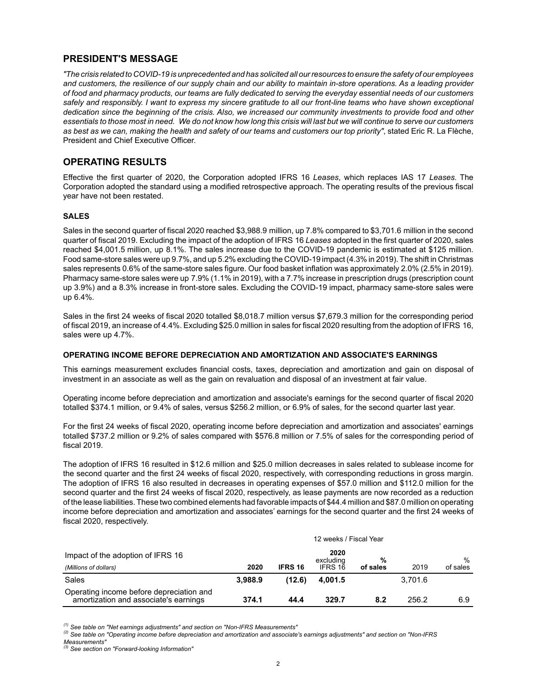## **PRESIDENT'S MESSAGE**

*"The crisis related to COVID-19 is unprecedented and has solicited all our resources to ensure the safety of our employees and customers, the resilience of our supply chain and our ability to maintain in-store operations. As a leading provider of food and pharmacy products, our teams are fully dedicated to serving the everyday essential needs of our customers safely and responsibly. I want to express my sincere gratitude to all our front-line teams who have shown exceptional dedication since the beginning of the crisis. Also, we increased our community investments to provide food and other essentials to those most in need. We do not know how long this crisis will last but we will continue to serve our customers as best as we can, making the health and safety of our teams and customers our top priority"*, stated Eric R. La Flèche, President and Chief Executive Officer.

## **OPERATING RESULTS**

Effective the first quarter of 2020, the Corporation adopted IFRS 16 *Leases*, which replaces IAS 17 *Leases*. The Corporation adopted the standard using a modified retrospective approach. The operating results of the previous fiscal year have not been restated.

### **SALES**

Sales in the second quarter of fiscal 2020 reached \$3,988.9 million, up 7.8% compared to \$3,701.6 million in the second quarter of fiscal 2019. Excluding the impact of the adoption of IFRS 16 *Leases* adopted in the first quarter of 2020, sales reached \$4,001.5 million, up 8.1%. The sales increase due to the COVID-19 pandemic is estimated at \$125 million. Food same-store sales were up 9.7%, and up 5.2% excluding the COVID-19 impact (4.3% in 2019). The shift in Christmas sales represents 0.6% of the same-store sales figure. Our food basket inflation was approximately 2.0% (2.5% in 2019). Pharmacy same-store sales were up 7.9% (1.1% in 2019), with a 7.7% increase in prescription drugs (prescription count up 3.9%) and a 8.3% increase in front-store sales. Excluding the COVID-19 impact, pharmacy same-store sales were up 6.4%.

Sales in the first 24 weeks of fiscal 2020 totalled \$8,018.7 million versus \$7,679.3 million for the corresponding period of fiscal 2019, an increase of 4.4%. Excluding \$25.0 million in sales for fiscal 2020 resulting from the adoption of IFRS 16, sales were up 4.7%.

### **OPERATING INCOME BEFORE DEPRECIATION AND AMORTIZATION AND ASSOCIATE'S EARNINGS**

This earnings measurement excludes financial costs, taxes, depreciation and amortization and gain on disposal of investment in an associate as well as the gain on revaluation and disposal of an investment at fair value.

Operating income before depreciation and amortization and associate's earnings for the second quarter of fiscal 2020 totalled \$374.1 million, or 9.4% of sales, versus \$256.2 million, or 6.9% of sales, for the second quarter last year.

For the first 24 weeks of fiscal 2020, operating income before depreciation and amortization and associates' earnings totalled \$737.2 million or 9.2% of sales compared with \$576.8 million or 7.5% of sales for the corresponding period of fiscal 2019.

The adoption of IFRS 16 resulted in \$12.6 million and \$25.0 million decreases in sales related to sublease income for the second quarter and the first 24 weeks of fiscal 2020, respectively, with corresponding reductions in gross margin. The adoption of IFRS 16 also resulted in decreases in operating expenses of \$57.0 million and \$112.0 million for the second quarter and the first 24 weeks of fiscal 2020, respectively, as lease payments are now recorded as a reduction of the lease liabilities. These two combined elements had favorable impacts of \$44.4 million and \$87.0 million on operating income before depreciation and amortization and associates' earnings for the second quarter and the first 24 weeks of fiscal 2020, respectively.

|                                                                                   | 12 weeks / Fiscal Year |                |                   |          |         |          |
|-----------------------------------------------------------------------------------|------------------------|----------------|-------------------|----------|---------|----------|
| Impact of the adoption of IFRS 16                                                 |                        |                | 2020<br>excluding | %        |         | $\%$     |
| (Millions of dollars)                                                             | 2020                   | <b>IFRS 16</b> | IFRS 16           | of sales | 2019    | of sales |
| Sales                                                                             | 3.988.9                | (12.6)         | 4.001.5           |          | 3.701.6 |          |
| Operating income before depreciation and<br>amortization and associate's earnings | 374.1                  | 44.4           | 329.7             | 8.2      | 256.2   | 6.9      |

*(1) See table on "Net earnings adjustments" and section on "Non-IFRS Measurements"*

*(2) See table on "Operating income before depreciation and amortization and associate's earnings adjustments" and section on "Non-IFRS Measurements"*

*<sup>(3)</sup> See section on "Forward-looking Information"*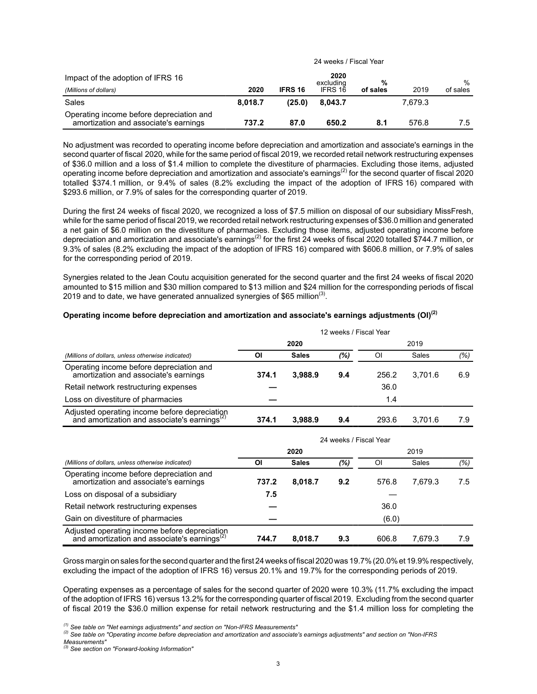|                                                                                   | 24 weeks / Fiscal Year |                |                   |          |         |          |
|-----------------------------------------------------------------------------------|------------------------|----------------|-------------------|----------|---------|----------|
| Impact of the adoption of IFRS 16                                                 |                        |                | 2020<br>excluding | %        |         | $\%$     |
| (Millions of dollars)                                                             | 2020                   | <b>IFRS 16</b> | IFRS 16           | of sales | 2019    | of sales |
| Sales                                                                             | 8.018.7                | (25.0)         | 8.043.7           |          | 7.679.3 |          |
| Operating income before depreciation and<br>amortization and associate's earnings | 737.2                  | 87.0           | 650.2             | 8.1      | 576.8   | 7.5      |

No adjustment was recorded to operating income before depreciation and amortization and associate's earnings in the second quarter of fiscal 2020, while for the same period of fiscal 2019, we recorded retail network restructuring expenses of \$36.0 million and a loss of \$1.4 million to complete the divestiture of pharmacies. Excluding those items, adjusted operating income before depreciation and amortization and associate's earnings<sup>(2)</sup> for the second quarter of fiscal 2020 totalled \$374.1 million, or 9.4% of sales (8.2% excluding the impact of the adoption of IFRS 16) compared with \$293.6 million, or 7.9% of sales for the corresponding quarter of 2019.

During the first 24 weeks of fiscal 2020, we recognized a loss of \$7.5 million on disposal of our subsidiary MissFresh, while for the same period of fiscal 2019, we recorded retail network restructuring expenses of \$36.0 million and generated a net gain of \$6.0 million on the divestiture of pharmacies. Excluding those items, adjusted operating income before depreciation and amortization and associate's earnings<sup>(2)</sup> for the first 24 weeks of fiscal 2020 totalled \$744.7 million, or 9.3% of sales (8.2% excluding the impact of the adoption of IFRS 16) compared with \$606.8 million, or 7.9% of sales for the corresponding period of 2019.

Synergies related to the Jean Coutu acquisition generated for the second quarter and the first 24 weeks of fiscal 2020 amounted to \$15 million and \$30 million compared to \$13 million and \$24 million for the corresponding periods of fiscal 2019 and to date, we have generated annualized synergies of \$65 million<sup>(3)</sup>.

### **Operating income before depreciation and amortization and associate's earnings adjustments (OI)(2)**

|                                                                                                           | 12 weeks / Fiscal Year |              |     |       |         |     |
|-----------------------------------------------------------------------------------------------------------|------------------------|--------------|-----|-------|---------|-----|
|                                                                                                           |                        | 2020         |     |       | 2019    |     |
| (Millions of dollars, unless otherwise indicated)                                                         | ΟI                     | <b>Sales</b> | (%) | ΟI    | Sales   | (%) |
| Operating income before depreciation and<br>amortization and associate's earnings                         | 374.1                  | 3,988.9      | 9.4 | 256.2 | 3.701.6 | 6.9 |
| Retail network restructuring expenses                                                                     |                        |              |     | 36.0  |         |     |
| Loss on divestiture of pharmacies                                                                         |                        |              |     | 1.4   |         |     |
| Adjusted operating income before depreciation<br>and amortization and associate's earnings <sup>(2)</sup> | 374.1                  | 3.988.9      | 9.4 | 293.6 | 3.701.6 | 7.9 |

|                                                                                                           | 24 weeks / Fiscal Year |              |     |       |         |     |  |
|-----------------------------------------------------------------------------------------------------------|------------------------|--------------|-----|-------|---------|-----|--|
|                                                                                                           | 2020                   |              |     | 2019  |         |     |  |
| (Millions of dollars, unless otherwise indicated)                                                         | ΟI                     | <b>Sales</b> | (%) | ΟI    | Sales   | (%) |  |
| Operating income before depreciation and<br>amortization and associate's earnings                         | 737.2                  | 8,018.7      | 9.2 | 576.8 | 7.679.3 | 7.5 |  |
| Loss on disposal of a subsidiary                                                                          | 7.5                    |              |     |       |         |     |  |
| Retail network restructuring expenses                                                                     |                        |              |     | 36.0  |         |     |  |
| Gain on divestiture of pharmacies                                                                         |                        |              |     | (6.0) |         |     |  |
| Adjusted operating income before depreciation<br>and amortization and associate's earnings <sup>(2)</sup> | 744.7                  | 8.018.7      | 9.3 | 606.8 | 7.679.3 | 7.9 |  |

Gross margin on sales for the second quarter and the first 24weeks of fiscal 2020was 19.7% (20.0% et 19.9% respectively, excluding the impact of the adoption of IFRS 16) versus 20.1% and 19.7% for the corresponding periods of 2019.

Operating expenses as a percentage of sales for the second quarter of 2020 were 10.3% (11.7% excluding the impact of the adoption of IFRS 16) versus 13.2% for the corresponding quarter of fiscal 2019. Excluding from the second quarter of fiscal 2019 the \$36.0 million expense for retail network restructuring and the \$1.4 million loss for completing the

*<sup>(1)</sup> See table on "Net earnings adjustments" and section on "Non-IFRS Measurements"*

*<sup>(2)</sup> See table on "Operating income before depreciation and amortization and associate's earnings adjustments" and section on "Non-IFRS Measurements"*

*<sup>(3)</sup> See section on "Forward-looking Information"*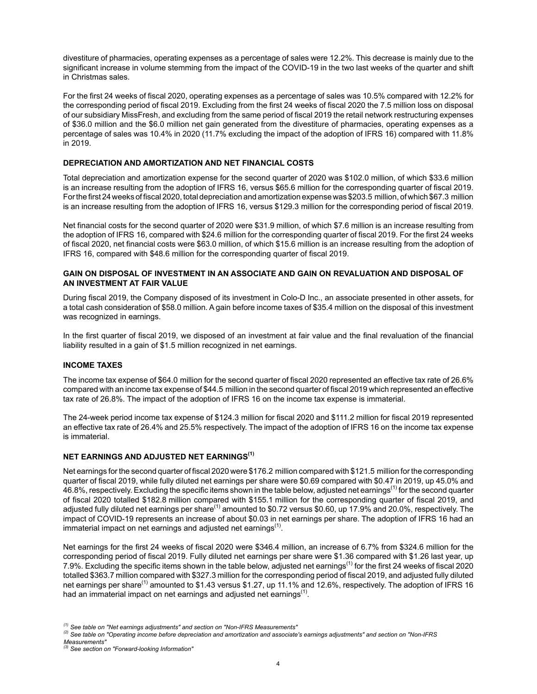divestiture of pharmacies, operating expenses as a percentage of sales were 12.2%. This decrease is mainly due to the significant increase in volume stemming from the impact of the COVID-19 in the two last weeks of the quarter and shift in Christmas sales.

For the first 24 weeks of fiscal 2020, operating expenses as a percentage of sales was 10.5% compared with 12.2% for the corresponding period of fiscal 2019. Excluding from the first 24 weeks of fiscal 2020 the 7.5 million loss on disposal of our subsidiary MissFresh, and excluding from the same period of fiscal 2019 the retail network restructuring expenses of \$36.0 million and the \$6.0 million net gain generated from the divestiture of pharmacies, operating expenses as a percentage of sales was 10.4% in 2020 (11.7% excluding the impact of the adoption of IFRS 16) compared with 11.8% in 2019.

### **DEPRECIATION AND AMORTIZATION AND NET FINANCIAL COSTS**

Total depreciation and amortization expense for the second quarter of 2020 was \$102.0 million, of which \$33.6 million is an increase resulting from the adoption of IFRS 16, versus \$65.6 million for the corresponding quarter of fiscal 2019. For the first 24 weeks of fiscal 2020, total depreciation and amortization expense was \$203.5 million, of which \$67.3 million is an increase resulting from the adoption of IFRS 16, versus \$129.3 million for the corresponding period of fiscal 2019.

Net financial costs for the second quarter of 2020 were \$31.9 million, of which \$7.6 million is an increase resulting from the adoption of IFRS 16, compared with \$24.6 million for the corresponding quarter of fiscal 2019. For the first 24 weeks of fiscal 2020, net financial costs were \$63.0 million, of which \$15.6 million is an increase resulting from the adoption of IFRS 16, compared with \$48.6 million for the corresponding quarter of fiscal 2019.

#### **GAIN ON DISPOSAL OF INVESTMENT IN AN ASSOCIATE AND GAIN ON REVALUATION AND DISPOSAL OF AN INVESTMENT AT FAIR VALUE**

During fiscal 2019, the Company disposed of its investment in Colo-D Inc., an associate presented in other assets, for a total cash consideration of \$58.0 million. A gain before income taxes of \$35.4 million on the disposal of this investment was recognized in earnings.

In the first quarter of fiscal 2019, we disposed of an investment at fair value and the final revaluation of the financial liability resulted in a gain of \$1.5 million recognized in net earnings.

### **INCOME TAXES**

The income tax expense of \$64.0 million for the second quarter of fiscal 2020 represented an effective tax rate of 26.6% compared with an income tax expense of \$44.5 million in the second quarter of fiscal 2019 which represented an effective tax rate of 26.8%. The impact of the adoption of IFRS 16 on the income tax expense is immaterial.

The 24-week period income tax expense of \$124.3 million for fiscal 2020 and \$111.2 million for fiscal 2019 represented an effective tax rate of 26.4% and 25.5% respectively. The impact of the adoption of IFRS 16 on the income tax expense is immaterial.

### **NET EARNINGS AND ADJUSTED NET EARNINGS(1)**

Net earnings for the second quarter of fiscal 2020 were \$176.2 million compared with \$121.5 million for the corresponding quarter of fiscal 2019, while fully diluted net earnings per share were \$0.69 compared with \$0.47 in 2019, up 45.0% and 46.8%, respectively. Excluding the specific items shown in the table below, adjusted net earnings<sup>(1)</sup> for the second quarter of fiscal 2020 totalled \$182.8 million compared with \$155.1 million for the corresponding quarter of fiscal 2019, and adjusted fully diluted net earnings per share<sup>(1)</sup> amounted to \$0.72 versus \$0.60, up 17.9% and 20.0%, respectively. The impact of COVID-19 represents an increase of about \$0.03 in net earnings per share. The adoption of IFRS 16 had an immaterial impact on net earnings and adjusted net earnings<sup>(1)</sup>.

Net earnings for the first 24 weeks of fiscal 2020 were \$346.4 million, an increase of 6.7% from \$324.6 million for the corresponding period of fiscal 2019. Fully diluted net earnings per share were \$1.36 compared with \$1.26 last year, up 7.9%. Excluding the specific items shown in the table below, adjusted net earnings(1) for the first 24 weeks of fiscal 2020 totalled \$363.7 million compared with \$327.3 million for the corresponding period of fiscal 2019, and adjusted fully diluted net earnings per share<sup>(1)</sup> amounted to \$1.43 versus \$1.27, up 11.1% and 12.6%, respectively. The adoption of IFRS 16 had an immaterial impact on net earnings and adjusted net earnings $<sup>(1)</sup>$ .</sup>

*<sup>(1)</sup> See table on "Net earnings adjustments" and section on "Non-IFRS Measurements"*

*<sup>(2)</sup> See table on "Operating income before depreciation and amortization and associate's earnings adjustments" and section on "Non-IFRS Measurements"*

*<sup>(3)</sup> See section on "Forward-looking Information"*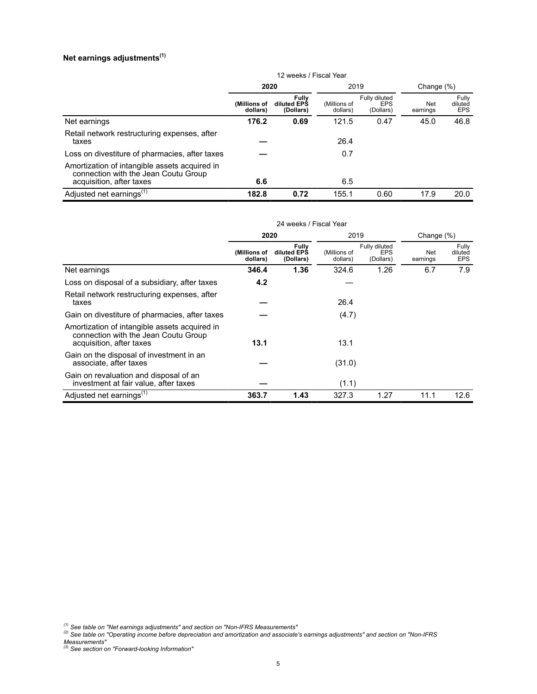## **Net earnings adjustments(1)**

|                                                                                                                   | 12 weeks / Fiscal Year   |                                   |                          |                                          |                 |                                |
|-------------------------------------------------------------------------------------------------------------------|--------------------------|-----------------------------------|--------------------------|------------------------------------------|-----------------|--------------------------------|
|                                                                                                                   | 2020                     |                                   | 2019                     |                                          | Change $(\%)$   |                                |
|                                                                                                                   | (Millions of<br>dollars) | Fully<br>diluted EPS<br>(Dollars) | (Millions of<br>dollars) | Fully diluted<br><b>EPS</b><br>(Dollars) | Net<br>earnings | Fully<br>diluted<br><b>EPS</b> |
| Net earnings                                                                                                      | 176.2                    | 0.69                              | 121.5                    | 0.47                                     | 45.0            | 46.8                           |
| Retail network restructuring expenses, after<br>taxes                                                             |                          |                                   | 26.4                     |                                          |                 |                                |
| Loss on divestiture of pharmacies, after taxes                                                                    |                          |                                   | 0.7                      |                                          |                 |                                |
| Amortization of intangible assets acquired in<br>connection with the Jean Coutu Group<br>acquisition, after taxes | 6.6                      |                                   | 6.5                      |                                          |                 |                                |
| Adjusted net earnings <sup>(1)</sup>                                                                              | 182.8                    | 0.72                              | 155.1                    | 0.60                                     | 17.9            | 20.0                           |

|                                                                                                                   | 24 weeks / Fiscal Year   |                                   |                          |                                          |                 |                                |
|-------------------------------------------------------------------------------------------------------------------|--------------------------|-----------------------------------|--------------------------|------------------------------------------|-----------------|--------------------------------|
|                                                                                                                   | 2020                     |                                   | 2019                     |                                          | Change $(\%)$   |                                |
|                                                                                                                   | (Millions of<br>dollars) | Fully<br>diluted EPS<br>(Dollars) | (Millions of<br>dollars) | Fully diluted<br><b>EPS</b><br>(Dollars) | Net<br>earnings | Fully<br>diluted<br><b>EPS</b> |
| Net earnings                                                                                                      | 346.4                    | 1.36                              | 324.6                    | 1.26                                     | 6.7             | 7.9                            |
| Loss on disposal of a subsidiary, after taxes                                                                     | 4.2                      |                                   |                          |                                          |                 |                                |
| Retail network restructuring expenses, after<br>taxes                                                             |                          |                                   | 26.4                     |                                          |                 |                                |
| Gain on divestiture of pharmacies, after taxes                                                                    |                          |                                   | (4.7)                    |                                          |                 |                                |
| Amortization of intangible assets acquired in<br>connection with the Jean Coutu Group<br>acquisition, after taxes | 13.1                     |                                   | 13.1                     |                                          |                 |                                |
| Gain on the disposal of investment in an<br>associate, after taxes                                                |                          |                                   | (31.0)                   |                                          |                 |                                |
| Gain on revaluation and disposal of an<br>investment at fair value, after taxes                                   |                          |                                   | (1.1)                    |                                          |                 |                                |
| Adjusted net earnings <sup>(1)</sup>                                                                              | 363.7                    | 1.43                              | 327.3                    | 1.27                                     | 11.1            | 12.6                           |

*<sup>(1)</sup> See table on "Net earnings adjustments" and section on "Non-IFRS Measurements"*

*<sup>(2)</sup> See table on "Operating income before depreciation and amortization and associate's earnings adjustments" and section on "Non-IFRS Measurements" (3) See section on "Forward-looking Information"*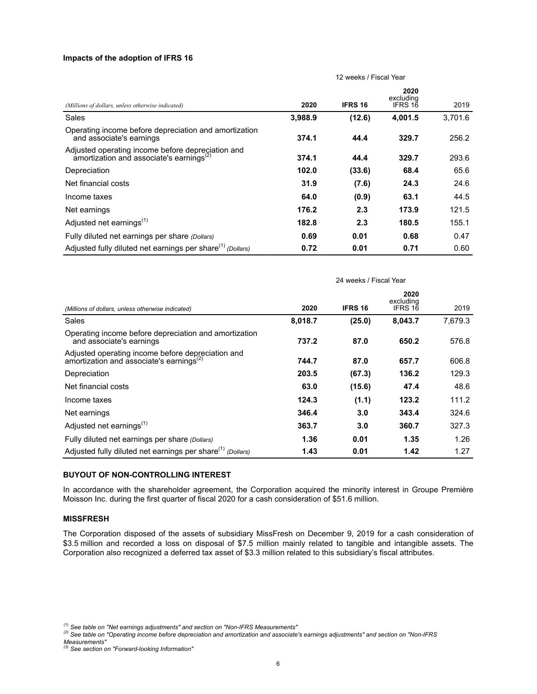### **Impacts of the adoption of IFRS 16**

|                                                                                                           | 12 weeks / Fiscal Year |                |                              |         |  |  |
|-----------------------------------------------------------------------------------------------------------|------------------------|----------------|------------------------------|---------|--|--|
| (Millions of dollars, unless otherwise indicated)                                                         | 2020                   | <b>IFRS 16</b> | 2020<br>excluding<br>IFRS 16 | 2019    |  |  |
| Sales                                                                                                     | 3,988.9                | (12.6)         | 4,001.5                      | 3,701.6 |  |  |
| Operating income before depreciation and amortization<br>and associate's earnings                         | 374.1                  | 44.4           | 329.7                        | 256.2   |  |  |
| Adjusted operating income before depregiation and<br>amortization and associate's earnings <sup>(2)</sup> | 374.1                  | 44.4           | 329.7                        | 293.6   |  |  |
| Depreciation                                                                                              | 102.0                  | (33.6)         | 68.4                         | 65.6    |  |  |
| Net financial costs                                                                                       | 31.9                   | (7.6)          | 24.3                         | 24.6    |  |  |
| Income taxes                                                                                              | 64.0                   | (0.9)          | 63.1                         | 44.5    |  |  |
| Net earnings                                                                                              | 176.2                  | 2.3            | 173.9                        | 121.5   |  |  |
| Adjusted net earnings <sup>(1)</sup>                                                                      | 182.8                  | 2.3            | 180.5                        | 155.1   |  |  |
| Fully diluted net earnings per share (Dollars)                                                            | 0.69                   | 0.01           | 0.68                         | 0.47    |  |  |
| Adjusted fully diluted net earnings per share <sup>(1)</sup> (Dollars)                                    | 0.72                   | 0.01           | 0.71                         | 0.60    |  |  |

|                                                                                                           | 24 weeks / Fiscal Year |                |                              |         |  |  |  |
|-----------------------------------------------------------------------------------------------------------|------------------------|----------------|------------------------------|---------|--|--|--|
| (Millions of dollars, unless otherwise indicated)                                                         | 2020                   | <b>IFRS 16</b> | 2020<br>excluding<br>IFRS 16 | 2019    |  |  |  |
| Sales                                                                                                     | 8,018.7                | (25.0)         | 8,043.7                      | 7,679.3 |  |  |  |
| Operating income before depreciation and amortization<br>and associate's earnings                         | 737.2                  | 87.0           | 650.2                        | 576.8   |  |  |  |
| Adjusted operating income before depreciation and<br>amortization and associate's earnings <sup>(2)</sup> | 744.7                  | 87.0           | 657.7                        | 606.8   |  |  |  |
| Depreciation                                                                                              | 203.5                  | (67.3)         | 136.2                        | 129.3   |  |  |  |
| Net financial costs                                                                                       | 63.0                   | (15.6)         | 47.4                         | 48.6    |  |  |  |
| Income taxes                                                                                              | 124.3                  | (1.1)          | 123.2                        | 111.2   |  |  |  |
| Net earnings                                                                                              | 346.4                  | 3.0            | 343.4                        | 324.6   |  |  |  |
| Adjusted net earnings <sup>(1)</sup>                                                                      | 363.7                  | 3.0            | 360.7                        | 327.3   |  |  |  |
| Fully diluted net earnings per share (Dollars)                                                            | 1.36                   | 0.01           | 1.35                         | 1.26    |  |  |  |
| Adjusted fully diluted net earnings per share <sup>(1)</sup> (Dollars)                                    | 1.43                   | 0.01           | 1.42                         | 1.27    |  |  |  |

### **BUYOUT OF NON-CONTROLLING INTEREST**

In accordance with the shareholder agreement, the Corporation acquired the minority interest in Groupe Première Moisson Inc. during the first quarter of fiscal 2020 for a cash consideration of \$51.6 million.

#### **MISSFRESH**

The Corporation disposed of the assets of subsidiary MissFresh on December 9, 2019 for a cash consideration of \$3.5 million and recorded a loss on disposal of \$7.5 million mainly related to tangible and intangible assets. The Corporation also recognized a deferred tax asset of \$3.3 million related to this subsidiary's fiscal attributes.

*<sup>(1)</sup> See table on "Net earnings adjustments" and section on "Non-IFRS Measurements"*

*<sup>(2)</sup> See table on "Operating income before depreciation and amortization and associate's earnings adjustments" and section on "Non-IFRS Measurements" (3) See section on "Forward-looking Information"*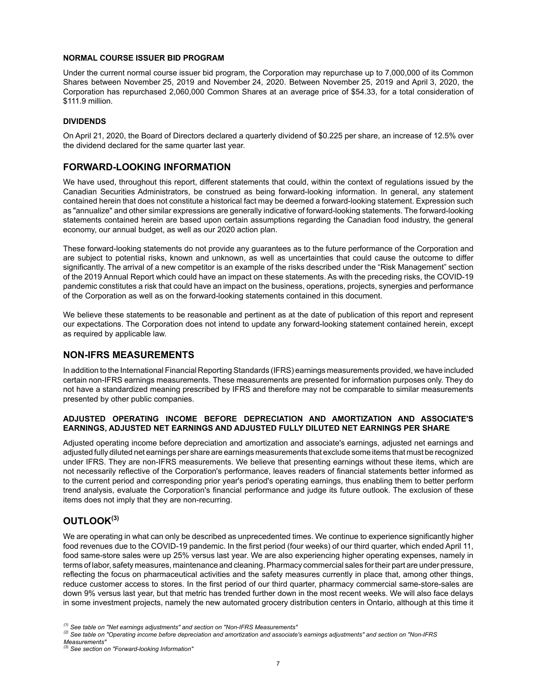### **NORMAL COURSE ISSUER BID PROGRAM**

Under the current normal course issuer bid program, the Corporation may repurchase up to 7,000,000 of its Common Shares between November 25, 2019 and November 24, 2020. Between November 25, 2019 and April 3, 2020, the Corporation has repurchased 2,060,000 Common Shares at an average price of \$54.33, for a total consideration of \$111.9 million.

### **DIVIDENDS**

On April 21, 2020, the Board of Directors declared a quarterly dividend of \$0.225 per share, an increase of 12.5% over the dividend declared for the same quarter last year.

## **FORWARD-LOOKING INFORMATION**

We have used, throughout this report, different statements that could, within the context of regulations issued by the Canadian Securities Administrators, be construed as being forward-looking information. In general, any statement contained herein that does not constitute a historical fact may be deemed a forward-looking statement. Expression such as "annualize" and other similar expressions are generally indicative of forward-looking statements. The forward-looking statements contained herein are based upon certain assumptions regarding the Canadian food industry, the general economy, our annual budget, as well as our 2020 action plan.

These forward-looking statements do not provide any guarantees as to the future performance of the Corporation and are subject to potential risks, known and unknown, as well as uncertainties that could cause the outcome to differ significantly. The arrival of a new competitor is an example of the risks described under the "Risk Management" section of the 2019 Annual Report which could have an impact on these statements. As with the preceding risks, the COVID-19 pandemic constitutes a risk that could have an impact on the business, operations, projects, synergies and performance of the Corporation as well as on the forward-looking statements contained in this document.

We believe these statements to be reasonable and pertinent as at the date of publication of this report and represent our expectations. The Corporation does not intend to update any forward-looking statement contained herein, except as required by applicable law.

## **NON-IFRS MEASUREMENTS**

In addition to the International Financial Reporting Standards (IFRS) earnings measurements provided, we have included certain non-IFRS earnings measurements. These measurements are presented for information purposes only. They do not have a standardized meaning prescribed by IFRS and therefore may not be comparable to similar measurements presented by other public companies.

### **ADJUSTED OPERATING INCOME BEFORE DEPRECIATION AND AMORTIZATION AND ASSOCIATE'S EARNINGS, ADJUSTED NET EARNINGS AND ADJUSTED FULLY DILUTED NET EARNINGS PER SHARE**

Adjusted operating income before depreciation and amortization and associate's earnings, adjusted net earnings and adjusted fully diluted net earnings per share are earnings measurements that exclude some items that must be recognized under IFRS. They are non-IFRS measurements. We believe that presenting earnings without these items, which are not necessarily reflective of the Corporation's performance, leaves readers of financial statements better informed as to the current period and corresponding prior year's period's operating earnings, thus enabling them to better perform trend analysis, evaluate the Corporation's financial performance and judge its future outlook. The exclusion of these items does not imply that they are non-recurring.

## **OUTLOOK(3)**

We are operating in what can only be described as unprecedented times. We continue to experience significantly higher food revenues due to the COVID-19 pandemic. In the first period (four weeks) of our third quarter, which ended April 11, food same-store sales were up 25% versus last year. We are also experiencing higher operating expenses, namely in terms of labor, safety measures, maintenance and cleaning. Pharmacy commercial sales for their part are under pressure, reflecting the focus on pharmaceutical activities and the safety measures currently in place that, among other things, reduce customer access to stores. In the first period of our third quarter, pharmacy commercial same-store-sales are down 9% versus last year, but that metric has trended further down in the most recent weeks. We will also face delays in some investment projects, namely the new automated grocery distribution centers in Ontario, although at this time it

*<sup>(1)</sup> See table on "Net earnings adjustments" and section on "Non-IFRS Measurements"*

*<sup>(2)</sup> See table on "Operating income before depreciation and amortization and associate's earnings adjustments" and section on "Non-IFRS Measurements"*

*<sup>(3)</sup> See section on "Forward-looking Information"*